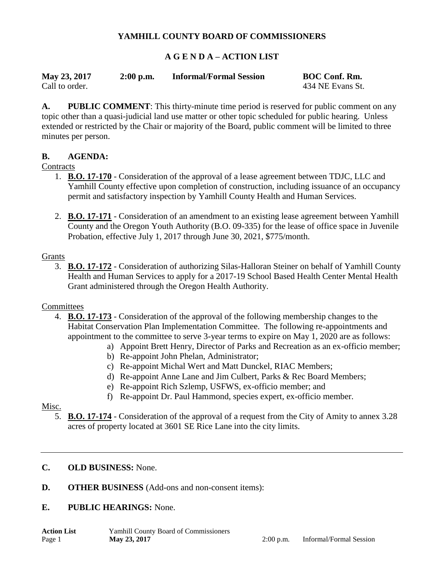## **YAMHILL COUNTY BOARD OF COMMISSIONERS**

## **A G E N D A – ACTION LIST**

| May 23, 2017   | $2:00$ p.m. | <b>Informal/Formal Session</b> | <b>BOC Conf. Rm.</b> |
|----------------|-------------|--------------------------------|----------------------|
| Call to order. |             |                                | 434 NE Evans St.     |

**A. PUBLIC COMMENT**: This thirty-minute time period is reserved for public comment on any topic other than a quasi-judicial land use matter or other topic scheduled for public hearing. Unless extended or restricted by the Chair or majority of the Board, public comment will be limited to three minutes per person.

## **B. AGENDA:**

## **Contracts**

- 1. **B.O. 17-170** Consideration of the approval of a lease agreement between TDJC, LLC and Yamhill County effective upon completion of construction, including issuance of an occupancy permit and satisfactory inspection by Yamhill County Health and Human Services.
- 2. **B.O. 17-171** Consideration of an amendment to an existing lease agreement between Yamhill County and the Oregon Youth Authority (B.O. 09-335) for the lease of office space in Juvenile Probation, effective July 1, 2017 through June 30, 2021, \$775/month.

#### Grants

3. **B.O. 17-172** - Consideration of authorizing Silas-Halloran Steiner on behalf of Yamhill County Health and Human Services to apply for a 2017-19 School Based Health Center Mental Health Grant administered through the Oregon Health Authority.

#### **Committees**

- 4. **B.O. 17-173** Consideration of the approval of the following membership changes to the Habitat Conservation Plan Implementation Committee. The following re-appointments and appointment to the committee to serve 3-year terms to expire on May 1, 2020 are as follows:
	- a) Appoint Brett Henry, Director of Parks and Recreation as an ex-officio member;
	- b) Re-appoint John Phelan, Administrator;
	- c) Re-appoint Michal Wert and Matt Dunckel, RIAC Members;
	- d) Re-appoint Anne Lane and Jim Culbert, Parks & Rec Board Members;
	- e) Re-appoint Rich Szlemp, USFWS, ex-officio member; and
	- f) Re-appoint Dr. Paul Hammond, species expert, ex-officio member.

## Misc.

5. **B.O. 17-174** - Consideration of the approval of a request from the City of Amity to annex 3.28 acres of property located at 3601 SE Rice Lane into the city limits.

## **C. OLD BUSINESS:** None.

**D. OTHER BUSINESS** (Add-ons and non-consent items):

#### **E. PUBLIC HEARINGS:** None.

**Action List** Yamhill County Board of Commissioners Page 1 **May 23, 2017** 2:00 p.m. Informal/Formal Session